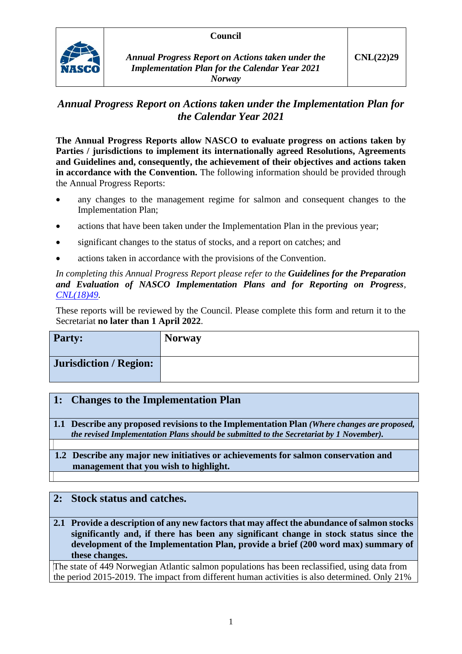

## *Annual Progress Report on Actions taken under the Implementation Plan for the Calendar Year 2021*

**The Annual Progress Reports allow NASCO to evaluate progress on actions taken by Parties / jurisdictions to implement its internationally agreed Resolutions, Agreements and Guidelines and, consequently, the achievement of their objectives and actions taken in accordance with the Convention.** The following information should be provided through the Annual Progress Reports:

- any changes to the management regime for salmon and consequent changes to the Implementation Plan;
- actions that have been taken under the Implementation Plan in the previous year;
- significant changes to the status of stocks, and a report on catches; and
- actions taken in accordance with the provisions of the Convention.

*In completing this Annual Progress Report please refer to the Guidelines for the Preparation and Evaluation of NASCO Implementation Plans and for Reporting on Progress, [CNL\(18\)49.](https://nasco.int/wp-content/uploads/2020/02/CNL1849_Guidelines-for-the-Preparation-and-Evaluation-of-NASCO-Implementation-Plans-and-for-Reporting-on-Progress.pdf)*

These reports will be reviewed by the Council. Please complete this form and return it to the Secretariat **no later than 1 April 2022**.

| <b>Party:</b>          | <b>Norway</b> |
|------------------------|---------------|
| Jurisdiction / Region: |               |

## **1: Changes to the Implementation Plan**

**1.1 Describe any proposed revisions to the Implementation Plan** *(Where changes are proposed, the revised Implementation Plans should be submitted to the Secretariat by 1 November).*

### **1.2 Describe any major new initiatives or achievements for salmon conservation and management that you wish to highlight.**

## **2: Stock status and catches.**

**2.1 Provide a description of any new factors that may affect the abundance of salmon stocks significantly and, if there has been any significant change in stock status since the development of the Implementation Plan, provide a brief (200 word max) summary of these changes.**

The state of 449 Norwegian Atlantic salmon populations has been reclassified, using data from the period 2015-2019. The impact from different human activities is also determined. Only 21%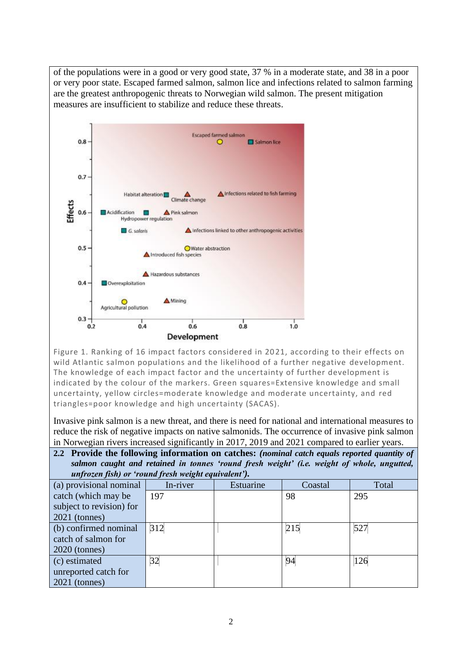

 $0.6$ 

**Development** 

 $0.4$ 

 $0.2$ 

Figure 1. Ranking of 16 impact factors considered in 2021, according to their effects on wild Atlantic salmon populations and the likelihood of a further negative development. The knowledge of each impact factor and the uncertainty of further development is indicated by the colour of the markers. Green squares=Extensive knowledge and small uncertainty, yellow circles=moderate knowledge and moderate uncertainty, and red triangles=poor knowledge and high uncertainty (SACAS).

 $0.8$ 

 $1.0$ 

Invasive pink salmon is a new threat, and there is need for national and international measures to reduce the risk of negative impacts on native salmonids. The occurrence of invasive pink salmon in Norwegian rivers increased significantly in 2017, 2019 and 2021 compared to earlier years.

| In two wegian rivers increased significantly in 2017, 2019 and 2021 compared to earlier years. |                                                                                              |           |         |       |
|------------------------------------------------------------------------------------------------|----------------------------------------------------------------------------------------------|-----------|---------|-------|
|                                                                                                | 2.2 Provide the following information on catches: (nominal catch equals reported quantity of |           |         |       |
| salmon caught and retained in tonnes 'round fresh weight' (i.e. weight of whole, ungutted,     |                                                                                              |           |         |       |
| unfrozen fish) or 'round fresh weight equivalent').                                            |                                                                                              |           |         |       |
| (a) provisional nominal                                                                        | In-river                                                                                     | Estuarine | Coastal | Total |
| catch (which may be                                                                            | 197                                                                                          |           | 98      | 295   |
| subject to revision) for                                                                       |                                                                                              |           |         |       |
| $2021$ (tonnes)                                                                                |                                                                                              |           |         |       |
| (b) confirmed nominal                                                                          | 312                                                                                          |           | 215     | 527   |
| catch of salmon for                                                                            |                                                                                              |           |         |       |
| $2020$ (tonnes)                                                                                |                                                                                              |           |         |       |
| (c) estimated                                                                                  | 32                                                                                           |           | 94      | 126   |
| unreported catch for                                                                           |                                                                                              |           |         |       |
| $2021$ (tonnes)                                                                                |                                                                                              |           |         |       |

of the populations were in a good or very good state, 37 % in a moderate state, and 38 in a poor or very poor state. Escaped farmed salmon, salmon lice and infections related to salmon farming are the greatest anthropogenic threats to Norwegian wild salmon. The present mitigation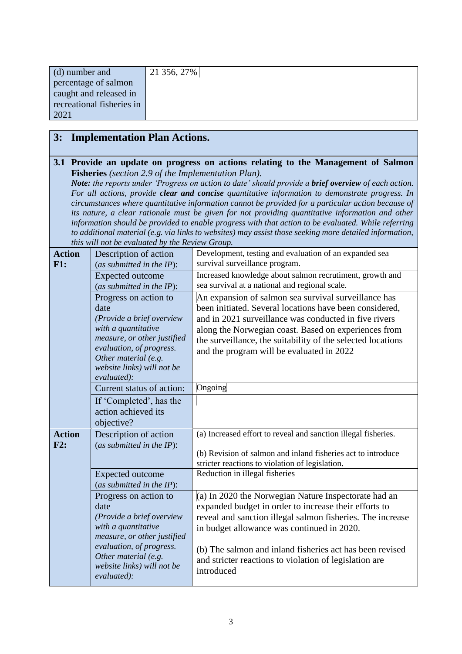| (d) number and            | $21356, 27\%$ |
|---------------------------|---------------|
| percentage of salmon      |               |
| caught and released in    |               |
| recreational fisheries in |               |
| 2021                      |               |

## **3: Implementation Plan Actions.**

#### **3.1 Provide an update on progress on actions relating to the Management of Salmon Fisheries** *(section 2.9 of the Implementation Plan).*

*Note: the reports under 'Progress on action to date' should provide a brief overview of each action. For all actions, provide clear and concise quantitative information to demonstrate progress. In circumstances where quantitative information cannot be provided for a particular action because of its nature, a clear rationale must be given for not providing quantitative information and other information should be provided to enable progress with that action to be evaluated. While referring to additional material (e.g. via links to websites) may assist those seeking more detailed information, this will not be evaluated by the Review Group.*

| <b>Action</b><br>F1: | Description of action<br>(as submitted in the $IP$ ):                                                                                                                                                             | Development, testing and evaluation of an expanded sea<br>survival surveillance program.                                                                                                                                                                                                                                                                      |
|----------------------|-------------------------------------------------------------------------------------------------------------------------------------------------------------------------------------------------------------------|---------------------------------------------------------------------------------------------------------------------------------------------------------------------------------------------------------------------------------------------------------------------------------------------------------------------------------------------------------------|
|                      | <b>Expected outcome</b><br>(as submitted in the IP):                                                                                                                                                              | Increased knowledge about salmon recrutiment, growth and<br>sea survival at a national and regional scale.                                                                                                                                                                                                                                                    |
|                      | Progress on action to<br>date<br>(Provide a brief overview<br>with a quantitative<br>measure, or other justified<br>evaluation, of progress.<br>Other material (e.g.<br>website links) will not be<br>evaluated): | An expansion of salmon sea survival surveillance has<br>been initiated. Several locations have been considered,<br>and in 2021 surveillance was conducted in five rivers<br>along the Norwegian coast. Based on experiences from<br>the surveillance, the suitability of the selected locations<br>and the program will be evaluated in 2022                  |
|                      | Current status of action:                                                                                                                                                                                         | Ongoing                                                                                                                                                                                                                                                                                                                                                       |
|                      | If 'Completed', has the<br>action achieved its<br>objective?                                                                                                                                                      |                                                                                                                                                                                                                                                                                                                                                               |
| <b>Action</b><br>F2: | Description of action<br>(as submitted in the $IP$ ):                                                                                                                                                             | (a) Increased effort to reveal and sanction illegal fisheries.<br>(b) Revision of salmon and inland fisheries act to introduce<br>stricter reactions to violation of legislation.                                                                                                                                                                             |
|                      | <b>Expected outcome</b><br>(as submitted in the $IP$ ):                                                                                                                                                           | Reduction in illegal fisheries                                                                                                                                                                                                                                                                                                                                |
|                      | Progress on action to<br>date<br>(Provide a brief overview<br>with a quantitative<br>measure, or other justified<br>evaluation, of progress.<br>Other material (e.g.<br>website links) will not be<br>evaluated): | (a) In 2020 the Norwegian Nature Inspectorate had an<br>expanded budget in order to increase their efforts to<br>reveal and sanction illegal salmon fisheries. The increase<br>in budget allowance was continued in 2020.<br>(b) The salmon and inland fisheries act has been revised<br>and stricter reactions to violation of legislation are<br>introduced |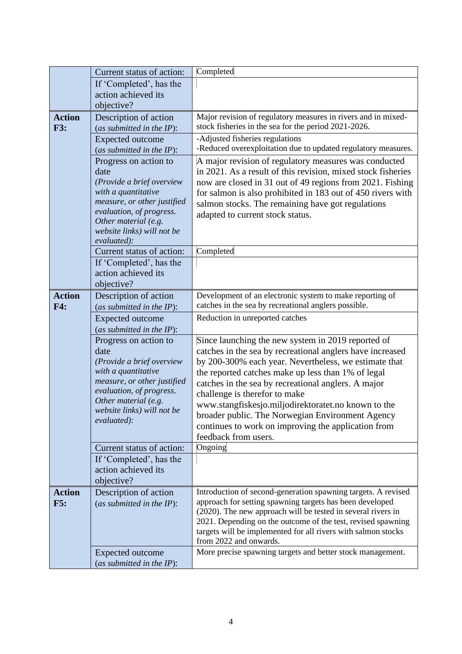|                             | Current status of action:                                                                                                                                                                                         | Completed                                                                                                                                                                                                                                                                                                                                                                                                                                                                                                        |
|-----------------------------|-------------------------------------------------------------------------------------------------------------------------------------------------------------------------------------------------------------------|------------------------------------------------------------------------------------------------------------------------------------------------------------------------------------------------------------------------------------------------------------------------------------------------------------------------------------------------------------------------------------------------------------------------------------------------------------------------------------------------------------------|
|                             | If 'Completed', has the                                                                                                                                                                                           |                                                                                                                                                                                                                                                                                                                                                                                                                                                                                                                  |
|                             | action achieved its                                                                                                                                                                                               |                                                                                                                                                                                                                                                                                                                                                                                                                                                                                                                  |
|                             | objective?                                                                                                                                                                                                        |                                                                                                                                                                                                                                                                                                                                                                                                                                                                                                                  |
| <b>Action</b><br><b>F3:</b> | Description of action<br>(as submitted in the $IP$ ):                                                                                                                                                             | Major revision of regulatory measures in rivers and in mixed-<br>stock fisheries in the sea for the period 2021-2026.                                                                                                                                                                                                                                                                                                                                                                                            |
|                             | <b>Expected outcome</b><br>(as submitted in the $IP$ ):                                                                                                                                                           | -Adjusted fisheries regulations<br>-Reduced overexploitation due to updated regulatory measures.                                                                                                                                                                                                                                                                                                                                                                                                                 |
|                             | Progress on action to<br>date<br>(Provide a brief overview<br>with a quantitative<br>measure, or other justified<br>evaluation, of progress.<br>Other material (e.g.<br>website links) will not be<br>evaluated): | A major revision of regulatory measures was conducted<br>in 2021. As a result of this revision, mixed stock fisheries<br>now are closed in 31 out of 49 regions from 2021. Fishing<br>for salmon is also prohibited in 183 out of 450 rivers with<br>salmon stocks. The remaining have got regulations<br>adapted to current stock status.                                                                                                                                                                       |
|                             | Current status of action:                                                                                                                                                                                         | Completed                                                                                                                                                                                                                                                                                                                                                                                                                                                                                                        |
|                             | If 'Completed', has the<br>action achieved its<br>objective?                                                                                                                                                      |                                                                                                                                                                                                                                                                                                                                                                                                                                                                                                                  |
| <b>Action</b><br>F4:        | Description of action<br>(as submitted in the IP):                                                                                                                                                                | Development of an electronic system to make reporting of<br>catches in the sea by recreational anglers possible.                                                                                                                                                                                                                                                                                                                                                                                                 |
|                             | <b>Expected outcome</b><br>(as submitted in the IP):                                                                                                                                                              | Reduction in unreported catches                                                                                                                                                                                                                                                                                                                                                                                                                                                                                  |
|                             | Progress on action to<br>date<br>(Provide a brief overview<br>with a quantitative<br>measure, or other justified<br>evaluation, of progress.<br>Other material (e.g.<br>website links) will not be<br>evaluated): | Since launching the new system in 2019 reported of<br>catches in the sea by recreational anglers have increased<br>by 200-300% each year. Nevertheless, we estimate that<br>the reported catches make up less than 1% of legal<br>catches in the sea by recreational anglers. A major<br>challenge is therefor to make<br>www.stangfiskesjo.miljodirektoratet.no known to the<br>broader public. The Norwegian Environment Agency<br>continues to work on improving the application from<br>feedback from users. |
|                             | Current status of action:                                                                                                                                                                                         | Ongoing                                                                                                                                                                                                                                                                                                                                                                                                                                                                                                          |
|                             | If 'Completed', has the<br>action achieved its<br>objective?                                                                                                                                                      |                                                                                                                                                                                                                                                                                                                                                                                                                                                                                                                  |
| <b>Action</b><br>F5:        | Description of action<br>(as submitted in the $IP$ ):                                                                                                                                                             | Introduction of second-generation spawning targets. A revised<br>approach for setting spawning targets has been developed<br>(2020). The new approach will be tested in several rivers in<br>2021. Depending on the outcome of the test, revised spawning<br>targets will be implemented for all rivers with salmon stocks<br>from 2022 and onwards.                                                                                                                                                             |
|                             | <b>Expected outcome</b><br>(as submitted in the IP):                                                                                                                                                              | More precise spawning targets and better stock management.                                                                                                                                                                                                                                                                                                                                                                                                                                                       |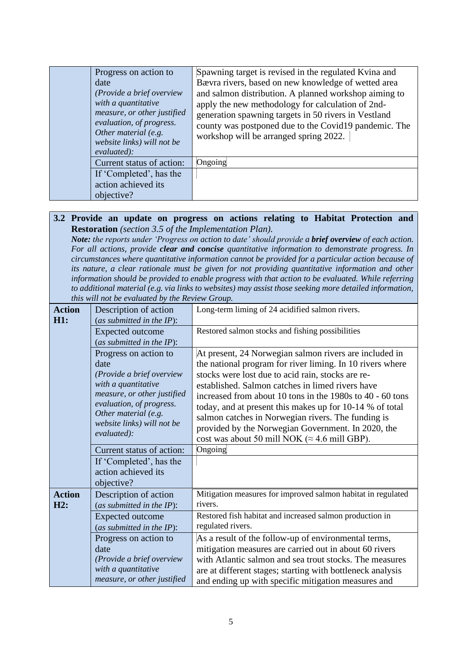| Progress on action to<br>date<br>(Provide a brief overview<br>with a quantitative<br>measure, or other justified<br>evaluation, of progress.<br>Other material (e.g.<br>website links) will not be<br>evaluated): | Spawning target is revised in the regulated Kvina and<br>Bævra rivers, based on new knowledge of wetted area<br>and salmon distribution. A planned workshop aiming to<br>apply the new methodology for calculation of 2nd-<br>generation spawning targets in 50 rivers in Vestland<br>county was postponed due to the Covid19 pandemic. The<br>workshop will be arranged spring 2022. |
|-------------------------------------------------------------------------------------------------------------------------------------------------------------------------------------------------------------------|---------------------------------------------------------------------------------------------------------------------------------------------------------------------------------------------------------------------------------------------------------------------------------------------------------------------------------------------------------------------------------------|
| Current status of action:                                                                                                                                                                                         | Ongoing                                                                                                                                                                                                                                                                                                                                                                               |
| If 'Completed', has the                                                                                                                                                                                           |                                                                                                                                                                                                                                                                                                                                                                                       |
| action achieved its                                                                                                                                                                                               |                                                                                                                                                                                                                                                                                                                                                                                       |
| objective?                                                                                                                                                                                                        |                                                                                                                                                                                                                                                                                                                                                                                       |

#### **3.2 Provide an update on progress on actions relating to Habitat Protection and Restoration** *(section 3.5 of the Implementation Plan).*

*Note: the reports under 'Progress on action to date' should provide a brief overview of each action. For all actions, provide clear and concise quantitative information to demonstrate progress. In circumstances where quantitative information cannot be provided for a particular action because of its nature, a clear rationale must be given for not providing quantitative information and other information should be provided to enable progress with that action to be evaluated. While referring to additional material (e.g. via links to websites) may assist those seeking more detailed information, this will not be evaluated by the Review Group.*

| <b>Action</b> | Description of action        | Long-term liming of 24 acidified salmon rivers.              |
|---------------|------------------------------|--------------------------------------------------------------|
| <b>H1:</b>    | (as submitted in the $IP$ ): |                                                              |
|               | <b>Expected outcome</b>      | Restored salmon stocks and fishing possibilities             |
|               | (as submitted in the IP):    |                                                              |
|               | Progress on action to        | At present, 24 Norwegian salmon rivers are included in       |
|               | date                         | the national program for river liming. In 10 rivers where    |
|               | (Provide a brief overview    | stocks were lost due to acid rain, stocks are re-            |
|               | with a quantitative          | established. Salmon catches in limed rivers have             |
|               | measure, or other justified  | increased from about 10 tons in the 1980s to 40 - 60 tons    |
|               | evaluation, of progress.     | today, and at present this makes up for 10-14 % of total     |
|               | Other material (e.g.         | salmon catches in Norwegian rivers. The funding is           |
|               | website links) will not be   | provided by the Norwegian Government. In 2020, the           |
|               | evaluated):                  | cost was about 50 mill NOK ( $\approx$ 4.6 mill GBP).        |
|               | Current status of action:    | Ongoing                                                      |
|               | If 'Completed', has the      |                                                              |
|               | action achieved its          |                                                              |
|               | objective?                   |                                                              |
| <b>Action</b> | Description of action        | Mitigation measures for improved salmon habitat in regulated |
| H2:           | (as submitted in the IP):    | rivers.                                                      |
|               |                              | Restored fish habitat and increased salmon production in     |
|               | <b>Expected outcome</b>      | regulated rivers.                                            |
|               | (as submitted in the IP):    |                                                              |
|               | Progress on action to        | As a result of the follow-up of environmental terms,         |
|               | date                         | mitigation measures are carried out in about 60 rivers       |
|               | (Provide a brief overview    | with Atlantic salmon and sea trout stocks. The measures      |
|               | with a quantitative          | are at different stages; starting with bottleneck analysis   |
|               | measure, or other justified  | and ending up with specific mitigation measures and          |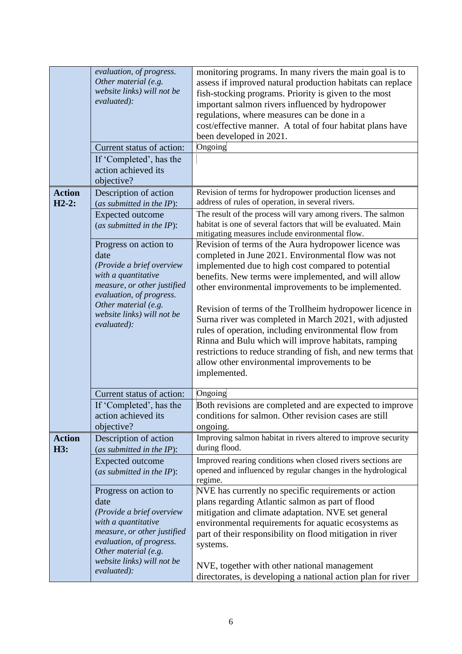|                          | evaluation, of progress.<br>Other material (e.g.<br>website links) will not be<br>evaluated):<br>Current status of action:<br>If 'Completed', has the<br>action achieved its<br>objective?                        | monitoring programs. In many rivers the main goal is to<br>assess if improved natural production habitats can replace<br>fish-stocking programs. Priority is given to the most<br>important salmon rivers influenced by hydropower<br>regulations, where measures can be done in a<br>cost/effective manner. A total of four habitat plans have<br>been developed in 2021.<br>Ongoing                                                                                                                                                                                                                                                                 |
|--------------------------|-------------------------------------------------------------------------------------------------------------------------------------------------------------------------------------------------------------------|-------------------------------------------------------------------------------------------------------------------------------------------------------------------------------------------------------------------------------------------------------------------------------------------------------------------------------------------------------------------------------------------------------------------------------------------------------------------------------------------------------------------------------------------------------------------------------------------------------------------------------------------------------|
| <b>Action</b><br>$H2-2:$ | Description of action<br>(as submitted in the $IP$ ):                                                                                                                                                             | Revision of terms for hydropower production licenses and<br>address of rules of operation, in several rivers.                                                                                                                                                                                                                                                                                                                                                                                                                                                                                                                                         |
|                          | <b>Expected outcome</b><br>(as submitted in the $IP$ ):                                                                                                                                                           | The result of the process will vary among rivers. The salmon<br>habitat is one of several factors that will be evaluated. Main<br>mitigating measures include environmental flow.                                                                                                                                                                                                                                                                                                                                                                                                                                                                     |
|                          | Progress on action to<br>date<br>(Provide a brief overview<br>with a quantitative<br>measure, or other justified<br>evaluation, of progress.<br>Other material (e.g.<br>website links) will not be<br>evaluated): | Revision of terms of the Aura hydropower licence was<br>completed in June 2021. Environmental flow was not<br>implemented due to high cost compared to potential<br>benefits. New terms were implemented, and will allow<br>other environmental improvements to be implemented.<br>Revision of terms of the Trollheim hydropower licence in<br>Surna river was completed in March 2021, with adjusted<br>rules of operation, including environmental flow from<br>Rinna and Bulu which will improve habitats, ramping<br>restrictions to reduce stranding of fish, and new terms that<br>allow other environmental improvements to be<br>implemented. |
|                          | Current status of action:                                                                                                                                                                                         | Ongoing                                                                                                                                                                                                                                                                                                                                                                                                                                                                                                                                                                                                                                               |
|                          | If 'Completed', has the<br>action achieved its<br>objective?                                                                                                                                                      | Both revisions are completed and are expected to improve<br>conditions for salmon. Other revision cases are still<br>ongoing.                                                                                                                                                                                                                                                                                                                                                                                                                                                                                                                         |
| <b>Action</b><br>H3:     | Description of action<br>(as submitted in the $IP$ ):                                                                                                                                                             | Improving salmon habitat in rivers altered to improve security<br>during flood.                                                                                                                                                                                                                                                                                                                                                                                                                                                                                                                                                                       |
|                          | <b>Expected outcome</b><br>(as submitted in the IP):                                                                                                                                                              | Improved rearing conditions when closed rivers sections are<br>opened and influenced by regular changes in the hydrological<br>regime.                                                                                                                                                                                                                                                                                                                                                                                                                                                                                                                |
|                          | Progress on action to<br>date<br>(Provide a brief overview<br>with a quantitative<br>measure, or other justified<br>evaluation, of progress.<br>Other material (e.g.<br>website links) will not be<br>evaluated): | NVE has currently no specific requirements or action<br>plans regarding Atlantic salmon as part of flood<br>mitigation and climate adaptation. NVE set general<br>environmental requirements for aquatic ecosystems as<br>part of their responsibility on flood mitigation in river<br>systems.<br>NVE, together with other national management<br>directorates, is developing a national action plan for river                                                                                                                                                                                                                                       |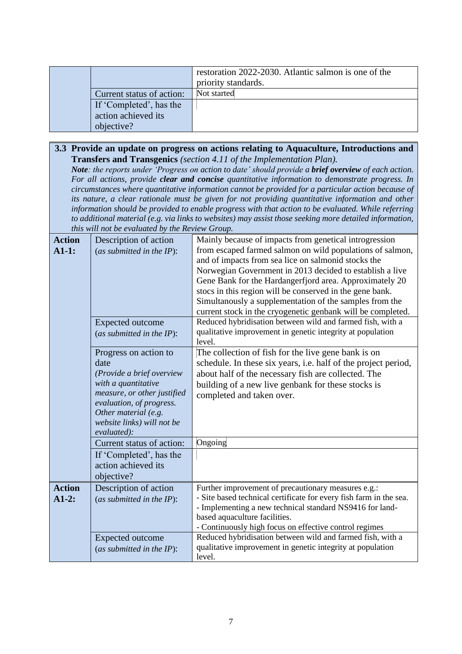|                           | restoration 2022-2030. Atlantic salmon is one of the<br>priority standards. |
|---------------------------|-----------------------------------------------------------------------------|
| Current status of action: | Not started                                                                 |
| If 'Completed', has the   |                                                                             |
| action achieved its       |                                                                             |
| objective?                |                                                                             |

#### **3.3 Provide an update on progress on actions relating to Aquaculture, Introductions and Transfers and Transgenics** *(section 4.11 of the Implementation Plan).*

*Note: the reports under 'Progress on action to date' should provide a brief overview of each action. For all actions, provide clear and concise quantitative information to demonstrate progress. In circumstances where quantitative information cannot be provided for a particular action because of its nature, a clear rationale must be given for not providing quantitative information and other information should be provided to enable progress with that action to be evaluated. While referring to additional material (e.g. via links to websites) may assist those seeking more detailed information, this will not be evaluated by the Review Group.*

| <b>Action</b><br>$A1-1:$ | Description of action<br>(as submitted in the $IP$ ):<br><b>Expected outcome</b><br>(as submitted in the $IP$ ):                                                                                                  | Mainly because of impacts from genetical introgression<br>from escaped farmed salmon on wild populations of salmon,<br>and of impacts from sea lice on salmonid stocks the<br>Norwegian Government in 2013 decided to establish a live<br>Gene Bank for the Hardangerfjord area. Approximately 20<br>stocs in this region will be conserved in the gene bank.<br>Simultanously a supplementation of the samples from the<br>current stock in the cryogenetic genbank will be completed.<br>Reduced hybridisation between wild and farmed fish, with a<br>qualitative improvement in genetic integrity at population<br>level. |
|--------------------------|-------------------------------------------------------------------------------------------------------------------------------------------------------------------------------------------------------------------|-------------------------------------------------------------------------------------------------------------------------------------------------------------------------------------------------------------------------------------------------------------------------------------------------------------------------------------------------------------------------------------------------------------------------------------------------------------------------------------------------------------------------------------------------------------------------------------------------------------------------------|
|                          | Progress on action to<br>date<br>(Provide a brief overview<br>with a quantitative<br>measure, or other justified<br>evaluation, of progress.<br>Other material (e.g.<br>website links) will not be<br>evaluated): | The collection of fish for the live gene bank is on<br>schedule. In these six years, i.e. half of the project period,<br>about half of the necessary fish are collected. The<br>building of a new live genbank for these stocks is<br>completed and taken over.                                                                                                                                                                                                                                                                                                                                                               |
|                          | Current status of action:                                                                                                                                                                                         | Ongoing                                                                                                                                                                                                                                                                                                                                                                                                                                                                                                                                                                                                                       |
|                          | If 'Completed', has the<br>action achieved its<br>objective?                                                                                                                                                      |                                                                                                                                                                                                                                                                                                                                                                                                                                                                                                                                                                                                                               |
| <b>Action</b><br>$A1-2:$ | Description of action<br>(as submitted in the $IP$ ):<br>Expected outcome                                                                                                                                         | Further improvement of precautionary measures e.g.:<br>- Site based technical certificate for every fish farm in the sea.<br>- Implementing a new technical standard NS9416 for land-<br>based aquaculture facilities.<br>- Continuously high focus on effective control regimes<br>Reduced hybridisation between wild and farmed fish, with a                                                                                                                                                                                                                                                                                |
|                          | (as submitted in the $IP$ ):                                                                                                                                                                                      | qualitative improvement in genetic integrity at population<br>level.                                                                                                                                                                                                                                                                                                                                                                                                                                                                                                                                                          |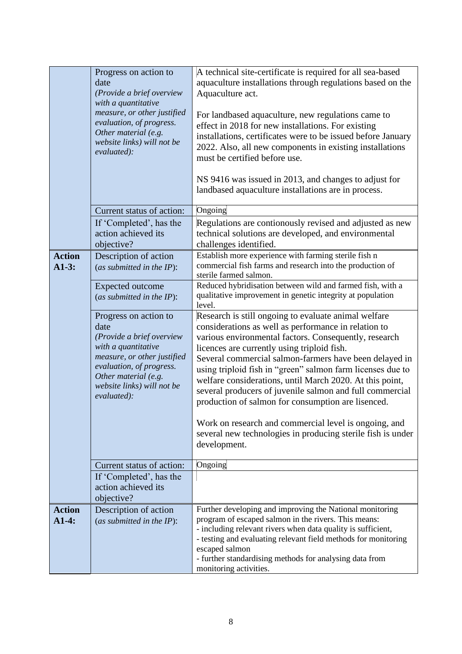|                          | Progress on action to<br>date<br>(Provide a brief overview<br>with a quantitative<br>measure, or other justified<br>evaluation, of progress.<br>Other material (e.g.<br>website links) will not be<br>evaluated): | A technical site-certificate is required for all sea-based<br>aquaculture installations through regulations based on the<br>Aquaculture act.<br>For landbased aquaculture, new regulations came to<br>effect in 2018 for new installations. For existing<br>installations, certificates were to be issued before January<br>2022. Also, all new components in existing installations<br>must be certified before use.<br>NS 9416 was issued in 2013, and changes to adjust for<br>landbased aquaculture installations are in process.                                                                                                                              |
|--------------------------|-------------------------------------------------------------------------------------------------------------------------------------------------------------------------------------------------------------------|--------------------------------------------------------------------------------------------------------------------------------------------------------------------------------------------------------------------------------------------------------------------------------------------------------------------------------------------------------------------------------------------------------------------------------------------------------------------------------------------------------------------------------------------------------------------------------------------------------------------------------------------------------------------|
|                          | Current status of action:                                                                                                                                                                                         | Ongoing                                                                                                                                                                                                                                                                                                                                                                                                                                                                                                                                                                                                                                                            |
|                          | If 'Completed', has the<br>action achieved its<br>objective?                                                                                                                                                      | Regulations are contionously revised and adjusted as new<br>technical solutions are developed, and environmental<br>challenges identified.                                                                                                                                                                                                                                                                                                                                                                                                                                                                                                                         |
| <b>Action</b><br>$A1-3:$ | Description of action<br>(as submitted in the $IP$ ):                                                                                                                                                             | Establish more experience with farming sterile fish n<br>commercial fish farms and research into the production of<br>sterile farmed salmon.                                                                                                                                                                                                                                                                                                                                                                                                                                                                                                                       |
|                          | <b>Expected outcome</b><br>(as submitted in the $IP$ ):                                                                                                                                                           | Reduced hybridisation between wild and farmed fish, with a<br>qualitative improvement in genetic integrity at population<br>level.                                                                                                                                                                                                                                                                                                                                                                                                                                                                                                                                 |
|                          | Progress on action to<br>date<br>(Provide a brief overview<br>with a quantitative<br>measure, or other justified<br>evaluation, of progress.<br>Other material (e.g.<br>website links) will not be<br>evaluated): | Research is still ongoing to evaluate animal welfare<br>considerations as well as performance in relation to<br>various environmental factors. Consequently, research<br>licences are currently using triploid fish.<br>Several commercial salmon-farmers have been delayed in<br>using triploid fish in "green" salmon farm licenses due to<br>welfare considerations, until March 2020. At this point,<br>several producers of juvenile salmon and full commercial<br>production of salmon for consumption are lisenced.<br>Work on research and commercial level is ongoing, and<br>several new technologies in producing sterile fish is under<br>development. |
|                          | Current status of action:                                                                                                                                                                                         | Ongoing                                                                                                                                                                                                                                                                                                                                                                                                                                                                                                                                                                                                                                                            |
|                          | If 'Completed', has the<br>action achieved its<br>objective?                                                                                                                                                      |                                                                                                                                                                                                                                                                                                                                                                                                                                                                                                                                                                                                                                                                    |
| <b>Action</b><br>$A1-4:$ | Description of action<br>(as submitted in the $IP$ ):                                                                                                                                                             | Further developing and improving the National monitoring<br>program of escaped salmon in the rivers. This means:<br>- including relevant rivers when data quality is sufficient,<br>- testing and evaluating relevant field methods for monitoring<br>escaped salmon<br>- further standardising methods for analysing data from<br>monitoring activities.                                                                                                                                                                                                                                                                                                          |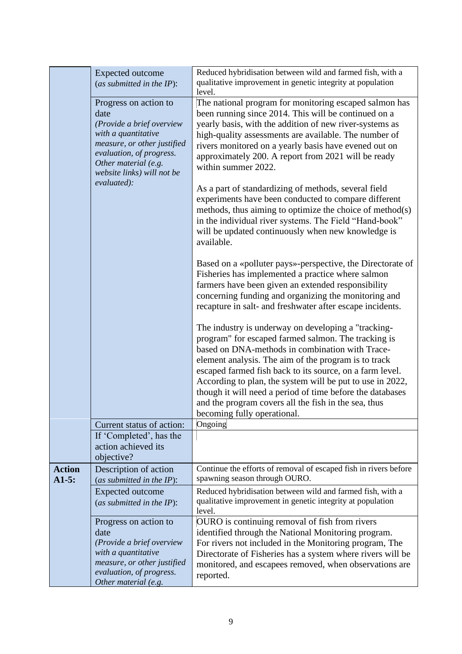|                           | <b>Expected</b> outcome<br>(as submitted in the $IP$ ):<br>Progress on action to<br>date<br>(Provide a brief overview<br>with a quantitative<br>measure, or other justified<br>evaluation, of progress.<br>Other material (e.g.<br>website links) will not be<br>evaluated): | Reduced hybridisation between wild and farmed fish, with a<br>qualitative improvement in genetic integrity at population<br>level.<br>The national program for monitoring escaped salmon has<br>been running since 2014. This will be continued on a<br>yearly basis, with the addition of new river-systems as<br>high-quality assessments are available. The number of<br>rivers monitored on a yearly basis have evened out on<br>approximately 200. A report from 2021 will be ready<br>within summer 2022.<br>As a part of standardizing of methods, several field<br>experiments have been conducted to compare different<br>methods, thus aiming to optimize the choice of method(s)<br>in the individual river systems. The Field "Hand-book"<br>will be updated continuously when new knowledge is<br>available. |
|---------------------------|------------------------------------------------------------------------------------------------------------------------------------------------------------------------------------------------------------------------------------------------------------------------------|---------------------------------------------------------------------------------------------------------------------------------------------------------------------------------------------------------------------------------------------------------------------------------------------------------------------------------------------------------------------------------------------------------------------------------------------------------------------------------------------------------------------------------------------------------------------------------------------------------------------------------------------------------------------------------------------------------------------------------------------------------------------------------------------------------------------------|
|                           |                                                                                                                                                                                                                                                                              | Based on a «polluter pays»-perspective, the Directorate of<br>Fisheries has implemented a practice where salmon<br>farmers have been given an extended responsibility<br>concerning funding and organizing the monitoring and<br>recapture in salt- and freshwater after escape incidents.<br>The industry is underway on developing a "tracking-<br>program" for escaped farmed salmon. The tracking is<br>based on DNA-methods in combination with Trace-<br>element analysis. The aim of the program is to track<br>escaped farmed fish back to its source, on a farm level.<br>According to plan, the system will be put to use in 2022,<br>though it will need a period of time before the databases<br>and the program covers all the fish in the sea, thus<br>becoming fully operational.                          |
|                           | Current status of action:<br>If 'Completed', has the                                                                                                                                                                                                                         | Ongoing                                                                                                                                                                                                                                                                                                                                                                                                                                                                                                                                                                                                                                                                                                                                                                                                                   |
|                           | action achieved its<br>objective?                                                                                                                                                                                                                                            |                                                                                                                                                                                                                                                                                                                                                                                                                                                                                                                                                                                                                                                                                                                                                                                                                           |
| <b>Action</b><br>$A1-5$ : | Description of action<br>(as submitted in the $IP$ ):                                                                                                                                                                                                                        | Continue the efforts of removal of escaped fish in rivers before<br>spawning season through OURO.                                                                                                                                                                                                                                                                                                                                                                                                                                                                                                                                                                                                                                                                                                                         |
|                           | <b>Expected outcome</b><br>(as submitted in the $IP$ ):                                                                                                                                                                                                                      | Reduced hybridisation between wild and farmed fish, with a<br>qualitative improvement in genetic integrity at population<br>level.                                                                                                                                                                                                                                                                                                                                                                                                                                                                                                                                                                                                                                                                                        |
|                           | Progress on action to<br>date<br>(Provide a brief overview<br>with a quantitative<br>measure, or other justified<br>evaluation, of progress.<br>Other material (e.g.                                                                                                         | OURO is continuing removal of fish from rivers<br>identified through the National Monitoring program.<br>For rivers not included in the Monitoring program, The<br>Directorate of Fisheries has a system where rivers will be<br>monitored, and escapees removed, when observations are<br>reported.                                                                                                                                                                                                                                                                                                                                                                                                                                                                                                                      |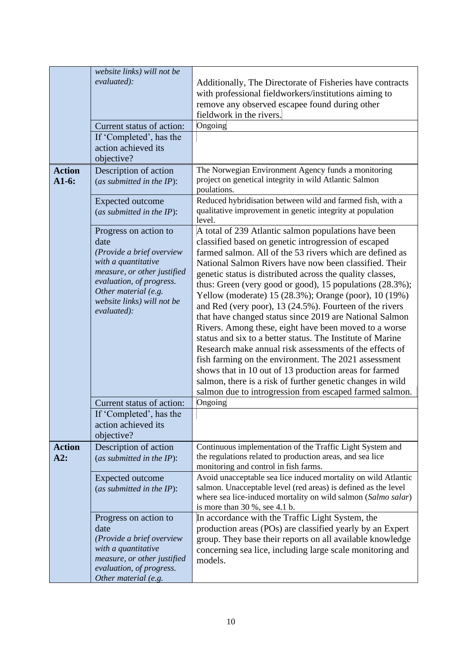| <b>Action</b><br>$A1-6:$ | website links) will not be<br>evaluated):<br>Current status of action:<br>If 'Completed', has the<br>action achieved its<br>objective?<br>Description of action<br>(as submitted in the IP):                      | Additionally, The Directorate of Fisheries have contracts<br>with professional fieldworkers/institutions aiming to<br>remove any observed escapee found during other<br>fieldwork in the rivers.<br>Ongoing<br>The Norwegian Environment Agency funds a monitoring<br>project on genetical integrity in wild Atlantic Salmon<br>poulations.                                                                                                                                                                                                                                                                                                                                                                                                                                                                                                                                                                                                                             |
|--------------------------|-------------------------------------------------------------------------------------------------------------------------------------------------------------------------------------------------------------------|-------------------------------------------------------------------------------------------------------------------------------------------------------------------------------------------------------------------------------------------------------------------------------------------------------------------------------------------------------------------------------------------------------------------------------------------------------------------------------------------------------------------------------------------------------------------------------------------------------------------------------------------------------------------------------------------------------------------------------------------------------------------------------------------------------------------------------------------------------------------------------------------------------------------------------------------------------------------------|
|                          | <b>Expected outcome</b><br>(as submitted in the IP):                                                                                                                                                              | Reduced hybridisation between wild and farmed fish, with a<br>qualitative improvement in genetic integrity at population<br>level.                                                                                                                                                                                                                                                                                                                                                                                                                                                                                                                                                                                                                                                                                                                                                                                                                                      |
|                          | Progress on action to<br>date<br>(Provide a brief overview<br>with a quantitative<br>measure, or other justified<br>evaluation, of progress.<br>Other material (e.g.<br>website links) will not be<br>evaluated): | A total of 239 Atlantic salmon populations have been<br>classified based on genetic introgression of escaped<br>farmed salmon. All of the 53 rivers which are defined as<br>National Salmon Rivers have now been classified. Their<br>genetic status is distributed across the quality classes,<br>thus: Green (very good or good), 15 populations (28.3%);<br>Yellow (moderate) 15 (28.3%); Orange (poor), 10 (19%)<br>and Red (very poor), 13 (24.5%). Fourteen of the rivers<br>that have changed status since 2019 are National Salmon<br>Rivers. Among these, eight have been moved to a worse<br>status and six to a better status. The Institute of Marine<br>Research make annual risk assessments of the effects of<br>fish farming on the environment. The 2021 assessment<br>shows that in 10 out of 13 production areas for farmed<br>salmon, there is a risk of further genetic changes in wild<br>salmon due to introgression from escaped farmed salmon. |
|                          | Current status of action:<br>If 'Completed', has the<br>action achieved its                                                                                                                                       | Ongoing                                                                                                                                                                                                                                                                                                                                                                                                                                                                                                                                                                                                                                                                                                                                                                                                                                                                                                                                                                 |
| <b>Action</b><br>A2:     | objective?<br>Description of action<br>(as submitted in the $IP$ ):                                                                                                                                               | Continuous implementation of the Traffic Light System and<br>the regulations related to production areas, and sea lice<br>monitoring and control in fish farms.                                                                                                                                                                                                                                                                                                                                                                                                                                                                                                                                                                                                                                                                                                                                                                                                         |
|                          | <b>Expected outcome</b><br>(as submitted in the IP):                                                                                                                                                              | Avoid unacceptable sea lice induced mortality on wild Atlantic<br>salmon. Unacceptable level (red areas) is defined as the level<br>where sea lice-induced mortality on wild salmon (Salmo salar)<br>is more than $30\%$ , see 4.1 b.                                                                                                                                                                                                                                                                                                                                                                                                                                                                                                                                                                                                                                                                                                                                   |
|                          | Progress on action to<br>date<br>(Provide a brief overview<br>with a quantitative<br>measure, or other justified<br>evaluation, of progress.<br>Other material (e.g.                                              | In accordance with the Traffic Light System, the<br>production areas (POs) are classified yearly by an Expert<br>group. They base their reports on all available knowledge<br>concerning sea lice, including large scale monitoring and<br>models.                                                                                                                                                                                                                                                                                                                                                                                                                                                                                                                                                                                                                                                                                                                      |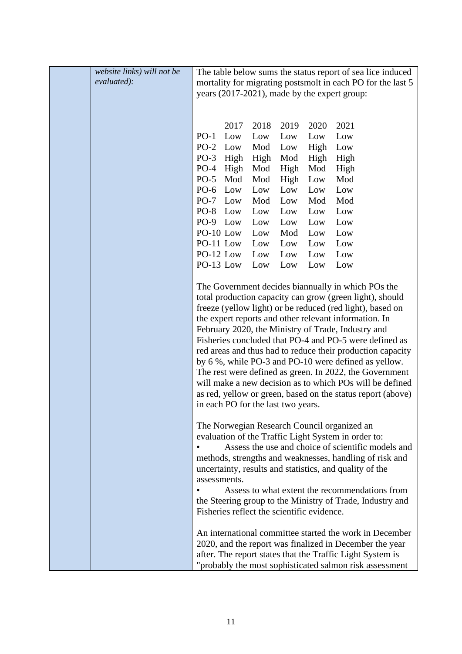| website links) will not be |              |      |                                    |      |                                            | The table below sums the status report of sea lice induced  |
|----------------------------|--------------|------|------------------------------------|------|--------------------------------------------|-------------------------------------------------------------|
| evaluated):                |              |      |                                    |      |                                            | mortality for migrating postsmolt in each PO for the last 5 |
|                            |              |      |                                    |      |                                            | years (2017-2021), made by the expert group:                |
|                            |              |      |                                    |      |                                            |                                                             |
|                            |              |      |                                    |      |                                            |                                                             |
|                            |              | 2017 | 2018                               | 2019 | 2020                                       | 2021                                                        |
|                            | $PO-1$       | Low  | Low                                | Low  | Low                                        | Low                                                         |
|                            | PO-2 Low     |      | Mod                                | Low  | High                                       | Low                                                         |
|                            | PO-3 High    |      | High                               | Mod  | High                                       | High                                                        |
|                            | PO-4 High    |      | Mod                                | High | Mod                                        | High                                                        |
|                            | $PO-5$       | Mod  | Mod                                | High | Low                                        | Mod                                                         |
|                            | PO-6 Low     |      | Low                                | Low  | Low                                        | Low                                                         |
|                            | PO-7 Low     |      | Mod                                | Low  | Mod                                        | Mod                                                         |
|                            | PO-8 Low     |      | Low                                | Low  | Low                                        | Low                                                         |
|                            | PO-9 Low     |      | Low                                | Low  | Low                                        | Low                                                         |
|                            | $PO-10$ Low  |      | Low                                | Mod  | Low                                        | Low                                                         |
|                            | PO-11 Low    |      | Low                                | Low  | Low                                        | Low                                                         |
|                            | PO-12 Low    |      | Low                                | Low  | Low                                        | Low                                                         |
|                            | PO-13 Low    |      | Low                                | Low  | Low                                        | Low                                                         |
|                            |              |      |                                    |      |                                            |                                                             |
|                            |              |      |                                    |      |                                            | The Government decides biannually in which POs the          |
|                            |              |      |                                    |      |                                            | total production capacity can grow (green light), should    |
|                            |              |      |                                    |      |                                            | freeze (yellow light) or be reduced (red light), based on   |
|                            |              |      |                                    |      |                                            | the expert reports and other relevant information. In       |
|                            |              |      |                                    |      |                                            | February 2020, the Ministry of Trade, Industry and          |
|                            |              |      |                                    |      |                                            | Fisheries concluded that PO-4 and PO-5 were defined as      |
|                            |              |      |                                    |      |                                            | red areas and thus had to reduce their production capacity  |
|                            |              |      |                                    |      |                                            | by 6%, while PO-3 and PO-10 were defined as yellow.         |
|                            |              |      |                                    |      |                                            | The rest were defined as green. In 2022, the Government     |
|                            |              |      |                                    |      |                                            | will make a new decision as to which POs will be defined    |
|                            |              |      | in each PO for the last two years. |      |                                            | as red, yellow or green, based on the status report (above) |
|                            |              |      |                                    |      |                                            |                                                             |
|                            |              |      |                                    |      |                                            | The Norwegian Research Council organized an                 |
|                            |              |      |                                    |      |                                            | evaluation of the Traffic Light System in order to:         |
|                            |              |      |                                    |      |                                            | Assess the use and choice of scientific models and          |
|                            |              |      |                                    |      |                                            | methods, strengths and weaknesses, handling of risk and     |
|                            |              |      |                                    |      |                                            | uncertainty, results and statistics, and quality of the     |
|                            | assessments. |      |                                    |      |                                            |                                                             |
|                            |              |      |                                    |      |                                            | Assess to what extent the recommendations from              |
|                            |              |      |                                    |      |                                            | the Steering group to the Ministry of Trade, Industry and   |
|                            |              |      |                                    |      | Fisheries reflect the scientific evidence. |                                                             |
|                            |              |      |                                    |      |                                            |                                                             |
|                            |              |      |                                    |      |                                            | An international committee started the work in December     |
|                            |              |      |                                    |      |                                            | 2020, and the report was finalized in December the year     |
|                            |              |      |                                    |      |                                            | after. The report states that the Traffic Light System is   |
|                            |              |      |                                    |      |                                            | "probably the most sophisticated salmon risk assessment     |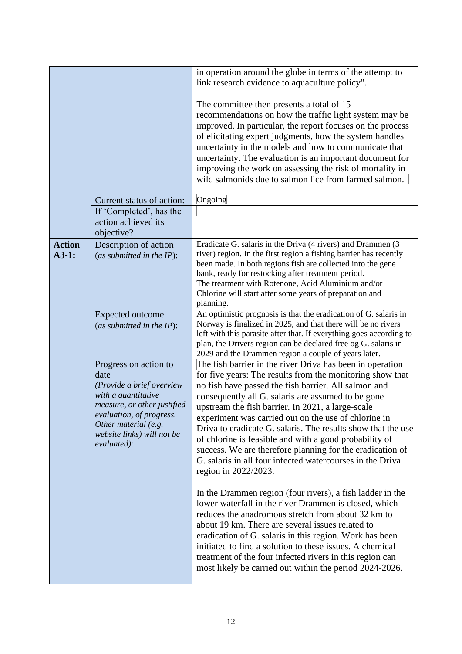|                          | Current status of action:                                                                                                                                                                                         | in operation around the globe in terms of the attempt to<br>link research evidence to aquaculture policy".<br>The committee then presents a total of 15<br>recommendations on how the traffic light system may be<br>improved. In particular, the report focuses on the process<br>of elicitating expert judgments, how the system handles<br>uncertainty in the models and how to communicate that<br>uncertainty. The evaluation is an important document for<br>improving the work on assessing the risk of mortality in<br>wild salmonids due to salmon lice from farmed salmon.<br>Ongoing                               |
|--------------------------|-------------------------------------------------------------------------------------------------------------------------------------------------------------------------------------------------------------------|-------------------------------------------------------------------------------------------------------------------------------------------------------------------------------------------------------------------------------------------------------------------------------------------------------------------------------------------------------------------------------------------------------------------------------------------------------------------------------------------------------------------------------------------------------------------------------------------------------------------------------|
|                          | If 'Completed', has the<br>action achieved its<br>objective?                                                                                                                                                      |                                                                                                                                                                                                                                                                                                                                                                                                                                                                                                                                                                                                                               |
| <b>Action</b><br>$A3-1:$ | Description of action<br>(as submitted in the $IP$ ):                                                                                                                                                             | Eradicate G. salaris in the Driva (4 rivers) and Drammen (3<br>river) region. In the first region a fishing barrier has recently<br>been made. In both regions fish are collected into the gene<br>bank, ready for restocking after treatment period.<br>The treatment with Rotenone, Acid Aluminium and/or<br>Chlorine will start after some years of preparation and<br>planning.                                                                                                                                                                                                                                           |
|                          | <b>Expected outcome</b><br>(as submitted in the $IP$ ):                                                                                                                                                           | An optimistic prognosis is that the eradication of G. salaris in<br>Norway is finalized in 2025, and that there will be no rivers<br>left with this parasite after that. If everything goes according to<br>plan, the Drivers region can be declared free og G. salaris in<br>2029 and the Drammen region a couple of years later.                                                                                                                                                                                                                                                                                            |
|                          | Progress on action to<br>date<br>(Provide a brief overview<br>with a quantitative<br>measure, or other justified<br>evaluation, of progress.<br>Other material (e.g.<br>website links) will not be<br>evaluated): | The fish barrier in the river Driva has been in operation<br>for five years: The results from the monitoring show that<br>no fish have passed the fish barrier. All salmon and<br>consequently all G. salaris are assumed to be gone<br>upstream the fish barrier. In 2021, a large-scale<br>experiment was carried out on the use of chlorine in<br>Driva to eradicate G. salaris. The results show that the use<br>of chlorine is feasible and with a good probability of<br>success. We are therefore planning for the eradication of<br>G. salaris in all four infected watercourses in the Driva<br>region in 2022/2023. |
|                          |                                                                                                                                                                                                                   | In the Drammen region (four rivers), a fish ladder in the<br>lower waterfall in the river Drammen is closed, which<br>reduces the anadromous stretch from about 32 km to<br>about 19 km. There are several issues related to<br>eradication of G. salaris in this region. Work has been<br>initiated to find a solution to these issues. A chemical<br>treatment of the four infected rivers in this region can<br>most likely be carried out within the period 2024-2026.                                                                                                                                                    |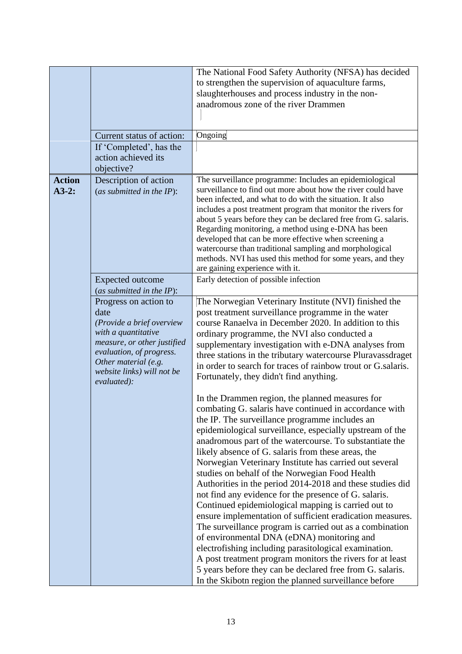|                          | Current status of action:                                                                                                                                                                                         | The National Food Safety Authority (NFSA) has decided<br>to strengthen the supervision of aquaculture farms,<br>slaughterhouses and process industry in the non-<br>anadromous zone of the river Drammen<br>Ongoing                                                                                                                                                                                                                                                                                                                                                                                                                                                                                                                                                                                                                                                                                                                                                                                                                                  |
|--------------------------|-------------------------------------------------------------------------------------------------------------------------------------------------------------------------------------------------------------------|------------------------------------------------------------------------------------------------------------------------------------------------------------------------------------------------------------------------------------------------------------------------------------------------------------------------------------------------------------------------------------------------------------------------------------------------------------------------------------------------------------------------------------------------------------------------------------------------------------------------------------------------------------------------------------------------------------------------------------------------------------------------------------------------------------------------------------------------------------------------------------------------------------------------------------------------------------------------------------------------------------------------------------------------------|
|                          | If 'Completed', has the<br>action achieved its<br>objective?                                                                                                                                                      |                                                                                                                                                                                                                                                                                                                                                                                                                                                                                                                                                                                                                                                                                                                                                                                                                                                                                                                                                                                                                                                      |
| <b>Action</b><br>$A3-2:$ | Description of action<br>(as submitted in the $IP$ ):                                                                                                                                                             | The surveillance programme: Includes an epidemiological<br>surveillance to find out more about how the river could have<br>been infected, and what to do with the situation. It also<br>includes a post treatment program that monitor the rivers for<br>about 5 years before they can be declared free from G. salaris.<br>Regarding monitoring, a method using e-DNA has been<br>developed that can be more effective when screening a<br>watercourse than traditional sampling and morphological<br>methods. NVI has used this method for some years, and they<br>are gaining experience with it.                                                                                                                                                                                                                                                                                                                                                                                                                                                 |
|                          | <b>Expected outcome</b><br>(as submitted in the IP):                                                                                                                                                              | Early detection of possible infection                                                                                                                                                                                                                                                                                                                                                                                                                                                                                                                                                                                                                                                                                                                                                                                                                                                                                                                                                                                                                |
|                          | Progress on action to<br>date<br>(Provide a brief overview<br>with a quantitative<br>measure, or other justified<br>evaluation, of progress.<br>Other material (e.g.<br>website links) will not be<br>evaluated): | The Norwegian Veterinary Institute (NVI) finished the<br>post treatment surveillance programme in the water<br>course Ranaelva in December 2020. In addition to this<br>ordinary programme, the NVI also conducted a<br>supplementary investigation with e-DNA analyses from<br>three stations in the tributary watercourse Pluravassdraget<br>in order to search for traces of rainbow trout or G.salaris.<br>Fortunately, they didn't find anything.                                                                                                                                                                                                                                                                                                                                                                                                                                                                                                                                                                                               |
|                          |                                                                                                                                                                                                                   | In the Drammen region, the planned measures for<br>combating G. salaris have continued in accordance with<br>the IP. The surveillance programme includes an<br>epidemiological surveillance, especially upstream of the<br>anadromous part of the watercourse. To substantiate the<br>likely absence of G. salaris from these areas, the<br>Norwegian Veterinary Institute has carried out several<br>studies on behalf of the Norwegian Food Health<br>Authorities in the period 2014-2018 and these studies did<br>not find any evidence for the presence of G. salaris.<br>Continued epidemiological mapping is carried out to<br>ensure implementation of sufficient eradication measures.<br>The surveillance program is carried out as a combination<br>of environmental DNA (eDNA) monitoring and<br>electrofishing including parasitological examination.<br>A post treatment program monitors the rivers for at least<br>5 years before they can be declared free from G. salaris.<br>In the Skibotn region the planned surveillance before |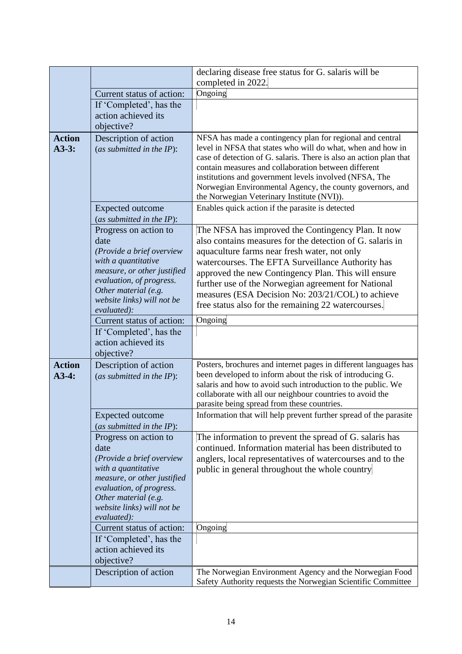|                          |                                                                                                                                                                                                                   | declaring disease free status for G. salaris will be                                                                                                                                                                                                                                                                                                                                                                                           |
|--------------------------|-------------------------------------------------------------------------------------------------------------------------------------------------------------------------------------------------------------------|------------------------------------------------------------------------------------------------------------------------------------------------------------------------------------------------------------------------------------------------------------------------------------------------------------------------------------------------------------------------------------------------------------------------------------------------|
|                          |                                                                                                                                                                                                                   | completed in 2022.                                                                                                                                                                                                                                                                                                                                                                                                                             |
|                          | Current status of action:                                                                                                                                                                                         | Ongoing                                                                                                                                                                                                                                                                                                                                                                                                                                        |
|                          | If 'Completed', has the                                                                                                                                                                                           |                                                                                                                                                                                                                                                                                                                                                                                                                                                |
|                          | action achieved its                                                                                                                                                                                               |                                                                                                                                                                                                                                                                                                                                                                                                                                                |
|                          | objective?                                                                                                                                                                                                        |                                                                                                                                                                                                                                                                                                                                                                                                                                                |
| <b>Action</b><br>$A3-3:$ | Description of action<br>(as submitted in the $IP$ ):                                                                                                                                                             | NFSA has made a contingency plan for regional and central<br>level in NFSA that states who will do what, when and how in<br>case of detection of G. salaris. There is also an action plan that<br>contain measures and collaboration between different<br>institutions and government levels involved (NFSA, The<br>Norwegian Environmental Agency, the county governors, and<br>the Norwegian Veterinary Institute (NVI)).                    |
|                          | <b>Expected outcome</b><br>(as submitted in the $IP$ ):                                                                                                                                                           | Enables quick action if the parasite is detected                                                                                                                                                                                                                                                                                                                                                                                               |
|                          | Progress on action to<br>date<br>(Provide a brief overview<br>with a quantitative<br>measure, or other justified<br>evaluation, of progress.<br>Other material (e.g.<br>website links) will not be<br>evaluated): | The NFSA has improved the Contingency Plan. It now<br>also contains measures for the detection of G. salaris in<br>aquaculture farms near fresh water, not only<br>watercourses. The EFTA Surveillance Authority has<br>approved the new Contingency Plan. This will ensure<br>further use of the Norwegian agreement for National<br>measures (ESA Decision No: 203/21/COL) to achieve<br>free status also for the remaining 22 watercourses. |
|                          | Current status of action:                                                                                                                                                                                         | Ongoing                                                                                                                                                                                                                                                                                                                                                                                                                                        |
|                          | If 'Completed', has the<br>action achieved its<br>objective?                                                                                                                                                      |                                                                                                                                                                                                                                                                                                                                                                                                                                                |
| <b>Action</b><br>$A3-4:$ | Description of action<br>(as submitted in the $IP$ ):                                                                                                                                                             | Posters, brochures and internet pages in different languages has<br>been developed to inform about the risk of introducing G.<br>salaris and how to avoid such introduction to the public. We<br>collaborate with all our neighbour countries to avoid the<br>parasite being spread from these countries.                                                                                                                                      |
|                          | <b>Expected outcome</b><br>(as submitted in the $IP$ ):                                                                                                                                                           | Information that will help prevent further spread of the parasite                                                                                                                                                                                                                                                                                                                                                                              |
|                          | Progress on action to<br>date<br>(Provide a brief overview<br>with a quantitative<br>measure, or other justified<br>evaluation, of progress.                                                                      | The information to prevent the spread of G. salaris has<br>continued. Information material has been distributed to<br>anglers, local representatives of watercourses and to the<br>public in general throughout the whole country                                                                                                                                                                                                              |
|                          | Other material (e.g.<br>website links) will not be<br>evaluated):                                                                                                                                                 |                                                                                                                                                                                                                                                                                                                                                                                                                                                |
|                          | Current status of action:                                                                                                                                                                                         | Ongoing                                                                                                                                                                                                                                                                                                                                                                                                                                        |
|                          | If 'Completed', has the<br>action achieved its<br>objective?                                                                                                                                                      |                                                                                                                                                                                                                                                                                                                                                                                                                                                |
|                          | Description of action                                                                                                                                                                                             | The Norwegian Environment Agency and the Norwegian Food<br>Safety Authority requests the Norwegian Scientific Committee                                                                                                                                                                                                                                                                                                                        |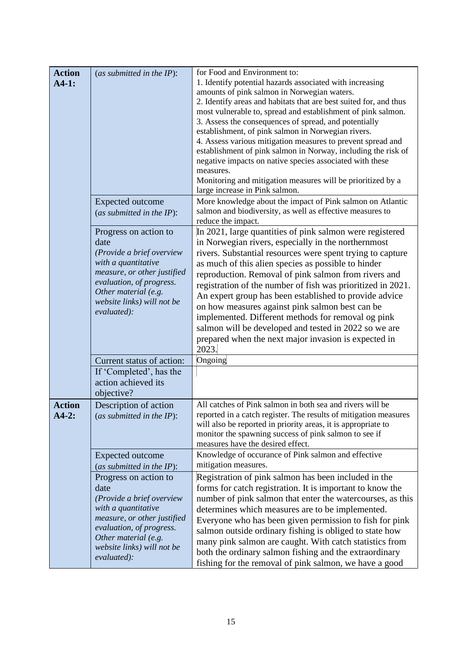| <b>Action</b><br>$A4-1:$ | (as submitted in the $IP$ ):                                                                                                                                                                                      | for Food and Environment to:<br>1. Identify potential hazards associated with increasing<br>amounts of pink salmon in Norwegian waters.<br>2. Identify areas and habitats that are best suited for, and thus<br>most vulnerable to, spread and establishment of pink salmon.<br>3. Assess the consequences of spread, and potentially<br>establishment, of pink salmon in Norwegian rivers.<br>4. Assess various mitigation measures to prevent spread and<br>establishment of pink salmon in Norway, including the risk of<br>negative impacts on native species associated with these<br>measures.<br>Monitoring and mitigation measures will be prioritized by a<br>large increase in Pink salmon. |
|--------------------------|-------------------------------------------------------------------------------------------------------------------------------------------------------------------------------------------------------------------|-------------------------------------------------------------------------------------------------------------------------------------------------------------------------------------------------------------------------------------------------------------------------------------------------------------------------------------------------------------------------------------------------------------------------------------------------------------------------------------------------------------------------------------------------------------------------------------------------------------------------------------------------------------------------------------------------------|
|                          | <b>Expected outcome</b><br>(as submitted in the $IP$ ):                                                                                                                                                           | More knowledge about the impact of Pink salmon on Atlantic<br>salmon and biodiversity, as well as effective measures to<br>reduce the impact.                                                                                                                                                                                                                                                                                                                                                                                                                                                                                                                                                         |
|                          | Progress on action to<br>date<br>(Provide a brief overview<br>with a quantitative<br>measure, or other justified<br>evaluation, of progress.<br>Other material (e.g.<br>website links) will not be<br>evaluated): | In 2021, large quantities of pink salmon were registered<br>in Norwegian rivers, especially in the northernmost<br>rivers. Substantial resources were spent trying to capture<br>as much of this alien species as possible to hinder<br>reproduction. Removal of pink salmon from rivers and<br>registration of the number of fish was prioritized in 2021.<br>An expert group has been established to provide advice<br>on how measures against pink salmon best can be<br>implemented. Different methods for removal og pink<br>salmon will be developed and tested in 2022 so we are<br>prepared when the next major invasion is expected in<br>2023.                                              |
|                          | Current status of action:                                                                                                                                                                                         | Ongoing                                                                                                                                                                                                                                                                                                                                                                                                                                                                                                                                                                                                                                                                                               |
|                          | If 'Completed', has the<br>action achieved its<br>objective?                                                                                                                                                      |                                                                                                                                                                                                                                                                                                                                                                                                                                                                                                                                                                                                                                                                                                       |
| <b>Action</b><br>$A4-2:$ | Description of action<br>(as submitted in the $IP$ ):                                                                                                                                                             | All catches of Pink salmon in both sea and rivers will be<br>reported in a catch register. The results of mitigation measures<br>will also be reported in priority areas, it is appropriate to<br>monitor the spawning success of pink salmon to see if<br>measures have the desired effect.                                                                                                                                                                                                                                                                                                                                                                                                          |
|                          | Expected outcome<br>(as submitted in the $IP$ ):                                                                                                                                                                  | Knowledge of occurance of Pink salmon and effective<br>mitigation measures.                                                                                                                                                                                                                                                                                                                                                                                                                                                                                                                                                                                                                           |
|                          | Progress on action to<br>date<br>(Provide a brief overview<br>with a quantitative<br>measure, or other justified<br>evaluation, of progress.<br>Other material (e.g.<br>website links) will not be<br>evaluated): | Registration of pink salmon has been included in the<br>forms for catch registration. It is important to know the<br>number of pink salmon that enter the watercourses, as this<br>determines which measures are to be implemented.<br>Everyone who has been given permission to fish for pink<br>salmon outside ordinary fishing is obliged to state how<br>many pink salmon are caught. With catch statistics from<br>both the ordinary salmon fishing and the extraordinary<br>fishing for the removal of pink salmon, we have a good                                                                                                                                                              |